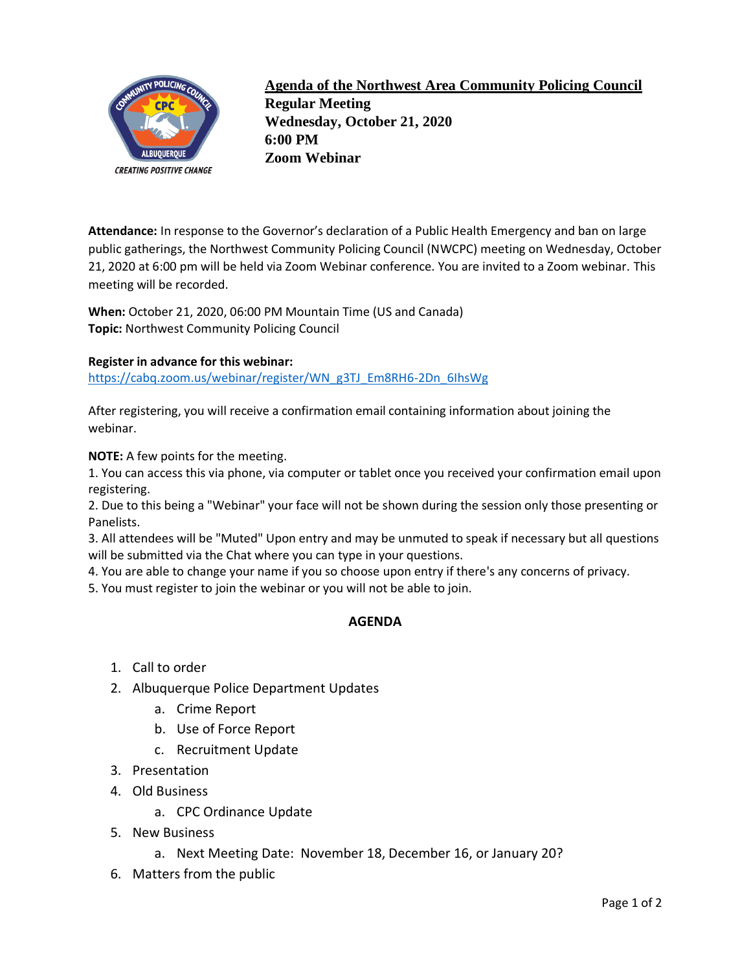

**Agenda of the Northwest Area Community Policing Council Regular Meeting Wednesday, October 21, 2020 6:00 PM Zoom Webinar**

**Attendance:** In response to the Governor's declaration of a Public Health Emergency and ban on large public gatherings, the Northwest Community Policing Council (NWCPC) meeting on Wednesday, October 21, 2020 at 6:00 pm will be held via Zoom Webinar conference. You are invited to a Zoom webinar. This meeting will be recorded.

**When:** October 21, 2020, 06:00 PM Mountain Time (US and Canada) **Topic:** Northwest Community Policing Council

## **Register in advance for this webinar:**

[https://cabq.zoom.us/webinar/register/WN\\_g3TJ\\_Em8RH6-2Dn\\_6IhsWg](https://cabq.zoom.us/webinar/register/WN_g3TJ_Em8RH6-2Dn_6IhsWg)

After registering, you will receive a confirmation email containing information about joining the webinar.

**NOTE:** A few points for the meeting.

1. You can access this via phone, via computer or tablet once you received your confirmation email upon registering.

2. Due to this being a "Webinar" your face will not be shown during the session only those presenting or Panelists.

3. All attendees will be "Muted" Upon entry and may be unmuted to speak if necessary but all questions will be submitted via the Chat where you can type in your questions.

4. You are able to change your name if you so choose upon entry if there's any concerns of privacy.

5. You must register to join the webinar or you will not be able to join.

## **AGENDA**

- 1. Call to order
- 2. Albuquerque Police Department Updates
	- a. Crime Report
	- b. Use of Force Report
	- c. Recruitment Update
- 3. Presentation
- 4. Old Business
	- a. CPC Ordinance Update
- 5. New Business
	- a. Next Meeting Date: November 18, December 16, or January 20?
- 6. Matters from the public